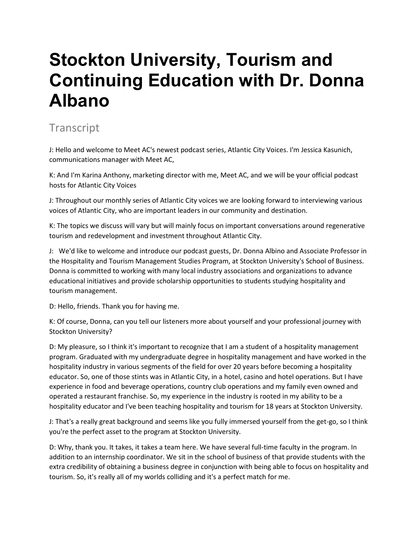## **Stockton University, Tourism and Continuing Education with Dr. Donna Albano**

## **Transcript**

J: Hello and welcome to Meet AC's newest podcast series, Atlantic City Voices. I'm Jessica Kasunich, communications manager with Meet AC,

K: And I'm Karina Anthony, marketing director with me, Meet AC, and we will be your official podcast hosts for Atlantic City Voices

J: Throughout our monthly series of Atlantic City voices we are looking forward to interviewing various voices of Atlantic City, who are important leaders in our community and destination.

K: The topics we discuss will vary but will mainly focus on important conversations around regenerative tourism and redevelopment and investment throughout Atlantic City.

J: We'd like to welcome and introduce our podcast guests, Dr. Donna Albino and Associate Professor in the Hospitality and Tourism Management Studies Program, at Stockton University's School of Business. Donna is committed to working with many local industry associations and organizations to advance educational initiatives and provide scholarship opportunities to students studying hospitality and tourism management.

D: Hello, friends. Thank you for having me.

K: Of course, Donna, can you tell our listeners more about yourself and your professional journey with Stockton University?

D: My pleasure, so I think it's important to recognize that I am a student of a hospitality management program. Graduated with my undergraduate degree in hospitality management and have worked in the hospitality industry in various segments of the field for over 20 years before becoming a hospitality educator. So, one of those stints was in Atlantic City, in a hotel, casino and hotel operations. But I have experience in food and beverage operations, country club operations and my family even owned and operated a restaurant franchise. So, my experience in the industry is rooted in my ability to be a hospitality educator and I've been teaching hospitality and tourism for 18 years at Stockton University.

J: That's a really great background and seems like you fully immersed yourself from the get-go, so I think you're the perfect asset to the program at Stockton University.

D: Why, thank you. It takes, it takes a team here. We have several full-time faculty in the program. In addition to an internship coordinator. We sit in the school of business of that provide students with the extra credibility of obtaining a business degree in conjunction with being able to focus on hospitality and tourism. So, it's really all of my worlds colliding and it's a perfect match for me.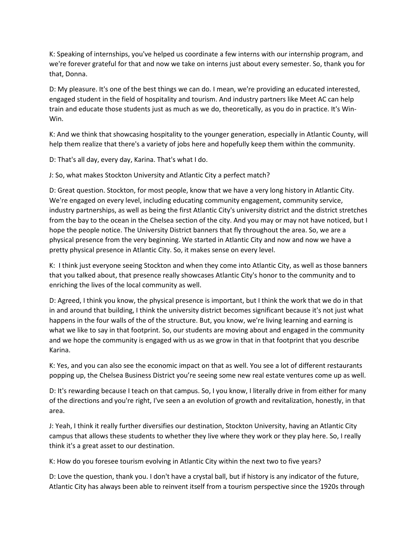K: Speaking of internships, you've helped us coordinate a few interns with our internship program, and we're forever grateful for that and now we take on interns just about every semester. So, thank you for that, Donna.

D: My pleasure. It's one of the best things we can do. I mean, we're providing an educated interested, engaged student in the field of hospitality and tourism. And industry partners like Meet AC can help train and educate those students just as much as we do, theoretically, as you do in practice. It's Win-Win.

K: And we think that showcasing hospitality to the younger generation, especially in Atlantic County, will help them realize that there's a variety of jobs here and hopefully keep them within the community.

D: That's all day, every day, Karina. That's what I do.

J: So, what makes Stockton University and Atlantic City a perfect match?

D: Great question. Stockton, for most people, know that we have a very long history in Atlantic City. We're engaged on every level, including educating community engagement, community service, industry partnerships, as well as being the first Atlantic City's university district and the district stretches from the bay to the ocean in the Chelsea section of the city. And you may or may not have noticed, but I hope the people notice. The University District banners that fly throughout the area. So, we are a physical presence from the very beginning. We started in Atlantic City and now and now we have a pretty physical presence in Atlantic City. So, it makes sense on every level.

K: I think just everyone seeing Stockton and when they come into Atlantic City, as well as those banners that you talked about, that presence really showcases Atlantic City's honor to the community and to enriching the lives of the local community as well.

D: Agreed, I think you know, the physical presence is important, but I think the work that we do in that in and around that building, I think the university district becomes significant because it's not just what happens in the four walls of the of the structure. But, you know, we're living learning and earning is what we like to say in that footprint. So, our students are moving about and engaged in the community and we hope the community is engaged with us as we grow in that in that footprint that you describe Karina.

K: Yes, and you can also see the economic impact on that as well. You see a lot of different restaurants popping up, the Chelsea Business District you're seeing some new real estate ventures come up as well.

D: It's rewarding because I teach on that campus. So, I you know, I literally drive in from either for many of the directions and you're right, I've seen a an evolution of growth and revitalization, honestly, in that area.

J: Yeah, I think it really further diversifies our destination, Stockton University, having an Atlantic City campus that allows these students to whether they live where they work or they play here. So, I really think it's a great asset to our destination.

K: How do you foresee tourism evolving in Atlantic City within the next two to five years?

D: Love the question, thank you. I don't have a crystal ball, but if history is any indicator of the future, Atlantic City has always been able to reinvent itself from a tourism perspective since the 1920s through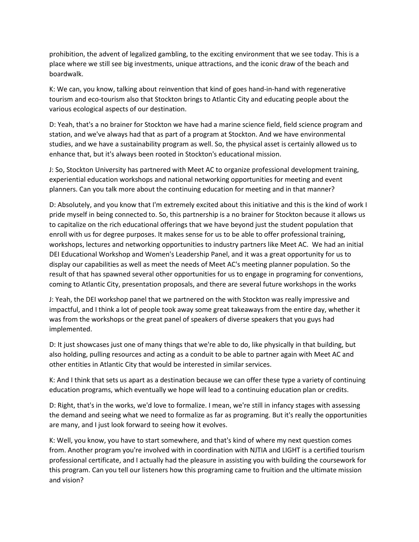prohibition, the advent of legalized gambling, to the exciting environment that we see today. This is a place where we still see big investments, unique attractions, and the iconic draw of the beach and boardwalk.

K: We can, you know, talking about reinvention that kind of goes hand-in-hand with regenerative tourism and eco-tourism also that Stockton brings to Atlantic City and educating people about the various ecological aspects of our destination.

D: Yeah, that's a no brainer for Stockton we have had a marine science field, field science program and station, and we've always had that as part of a program at Stockton. And we have environmental studies, and we have a sustainability program as well. So, the physical asset is certainly allowed us to enhance that, but it's always been rooted in Stockton's educational mission.

J: So, Stockton University has partnered with Meet AC to organize professional development training, experiential education workshops and national networking opportunities for meeting and event planners. Can you talk more about the continuing education for meeting and in that manner?

D: Absolutely, and you know that I'm extremely excited about this initiative and this is the kind of work I pride myself in being connected to. So, this partnership is a no brainer for Stockton because it allows us to capitalize on the rich educational offerings that we have beyond just the student population that enroll with us for degree purposes. It makes sense for us to be able to offer professional training, workshops, lectures and networking opportunities to industry partners like Meet AC. We had an initial DEI Educational Workshop and Women's Leadership Panel, and it was a great opportunity for us to display our capabilities as well as meet the needs of Meet AC's meeting planner population. So the result of that has spawned several other opportunities for us to engage in programing for conventions, coming to Atlantic City, presentation proposals, and there are several future workshops in the works

J: Yeah, the DEI workshop panel that we partnered on the with Stockton was really impressive and impactful, and I think a lot of people took away some great takeaways from the entire day, whether it was from the workshops or the great panel of speakers of diverse speakers that you guys had implemented.

D: It just showcases just one of many things that we're able to do, like physically in that building, but also holding, pulling resources and acting as a conduit to be able to partner again with Meet AC and other entities in Atlantic City that would be interested in similar services.

K: And I think that sets us apart as a destination because we can offer these type a variety of continuing education programs, which eventually we hope will lead to a continuing education plan or credits.

D: Right, that's in the works, we'd love to formalize. I mean, we're still in infancy stages with assessing the demand and seeing what we need to formalize as far as programing. But it's really the opportunities are many, and I just look forward to seeing how it evolves.

K: Well, you know, you have to start somewhere, and that's kind of where my next question comes from. Another program you're involved with in coordination with NJTIA and LIGHT is a certified tourism professional certificate, and I actually had the pleasure in assisting you with building the coursework for this program. Can you tell our listeners how this programing came to fruition and the ultimate mission and vision?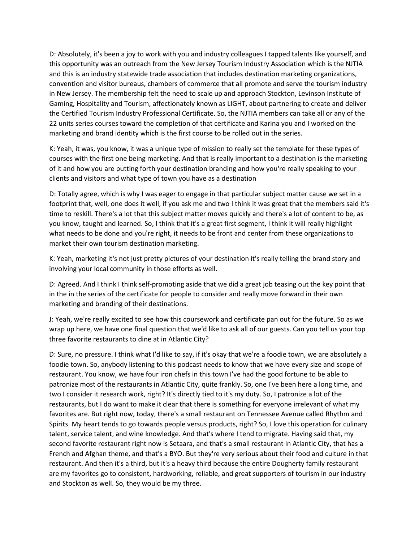D: Absolutely, it's been a joy to work with you and industry colleagues I tapped talents like yourself, and this opportunity was an outreach from the New Jersey Tourism Industry Association which is the NJTIA and this is an industry statewide trade association that includes destination marketing organizations, convention and visitor bureaus, chambers of commerce that all promote and serve the tourism industry in New Jersey. The membership felt the need to scale up and approach Stockton, Levinson Institute of Gaming, Hospitality and Tourism, affectionately known as LIGHT, about partnering to create and deliver the Certified Tourism Industry Professional Certificate. So, the NJTIA members can take all or any of the 22 units series courses toward the completion of that certificate and Karina you and I worked on the marketing and brand identity which is the first course to be rolled out in the series.

K: Yeah, it was, you know, it was a unique type of mission to really set the template for these types of courses with the first one being marketing. And that is really important to a destination is the marketing of it and how you are putting forth your destination branding and how you're really speaking to your clients and visitors and what type of town you have as a destination

D: Totally agree, which is why I was eager to engage in that particular subject matter cause we set in a footprint that, well, one does it well, if you ask me and two I think it was great that the members said it's time to reskill. There's a lot that this subject matter moves quickly and there's a lot of content to be, as you know, taught and learned. So, I think that it's a great first segment, I think it will really highlight what needs to be done and you're right, it needs to be front and center from these organizations to market their own tourism destination marketing.

K: Yeah, marketing it's not just pretty pictures of your destination it's really telling the brand story and involving your local community in those efforts as well.

D: Agreed. And I think I think self-promoting aside that we did a great job teasing out the key point that in the in the series of the certificate for people to consider and really move forward in their own marketing and branding of their destinations.

J: Yeah, we're really excited to see how this coursework and certificate pan out for the future. So as we wrap up here, we have one final question that we'd like to ask all of our guests. Can you tell us your top three favorite restaurants to dine at in Atlantic City?

D: Sure, no pressure. I think what I'd like to say, if it's okay that we're a foodie town, we are absolutely a foodie town. So, anybody listening to this podcast needs to know that we have every size and scope of restaurant. You know, we have four iron chefs in this town I've had the good fortune to be able to patronize most of the restaurants in Atlantic City, quite frankly. So, one I've been here a long time, and two I consider it research work, right? It's directly tied to it's my duty. So, I patronize a lot of the restaurants, but I do want to make it clear that there is something for everyone irrelevant of what my favorites are. But right now, today, there's a small restaurant on Tennessee Avenue called Rhythm and Spirits. My heart tends to go towards people versus products, right? So, I love this operation for culinary talent, service talent, and wine knowledge. And that's where I tend to migrate. Having said that, my second favorite restaurant right now is Setaara, and that's a small restaurant in Atlantic City, that has a French and Afghan theme, and that's a BYO. But they're very serious about their food and culture in that restaurant. And then it's a third, but it's a heavy third because the entire Dougherty family restaurant are my favorites go to consistent, hardworking, reliable, and great supporters of tourism in our industry and Stockton as well. So, they would be my three.